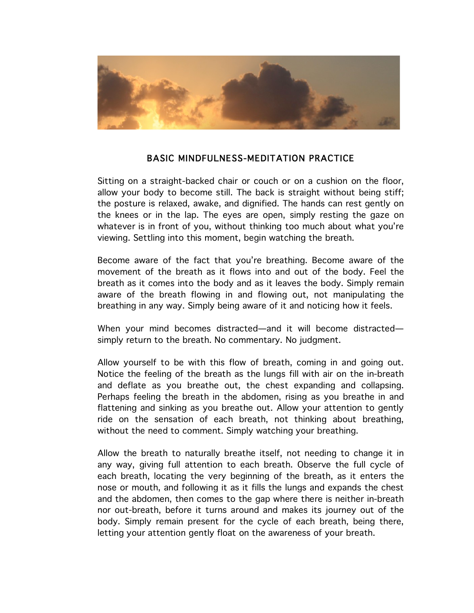

## BASIC MINDFULNESS-MEDITATION PRACTICE

Sitting on a straight-backed chair or couch or on a cushion on the floor, allow your body to become still. The back is straight without being stiff; the posture is relaxed, awake, and dignified. The hands can rest gently on the knees or in the lap. The eyes are open, simply resting the gaze on whatever is in front of you, without thinking too much about what you're viewing. Settling into this moment, begin watching the breath.

Become aware of the fact that you're breathing. Become aware of the movement of the breath as it flows into and out of the body. Feel the breath as it comes into the body and as it leaves the body. Simply remain aware of the breath flowing in and flowing out, not manipulating the breathing in any way. Simply being aware of it and noticing how it feels.

When your mind becomes distracted—and it will become distracted simply return to the breath. No commentary. No judgment.

Allow yourself to be with this flow of breath, coming in and going out. Notice the feeling of the breath as the lungs fill with air on the in-breath and deflate as you breathe out, the chest expanding and collapsing. Perhaps feeling the breath in the abdomen, rising as you breathe in and flattening and sinking as you breathe out. Allow your attention to gently ride on the sensation of each breath, not thinking about breathing, without the need to comment. Simply watching your breathing.

Allow the breath to naturally breathe itself, not needing to change it in any way, giving full attention to each breath. Observe the full cycle of each breath, locating the very beginning of the breath, as it enters the nose or mouth, and following it as it fills the lungs and expands the chest and the abdomen, then comes to the gap where there is neither in-breath nor out-breath, before it turns around and makes its journey out of the body. Simply remain present for the cycle of each breath, being there, letting your attention gently float on the awareness of your breath.